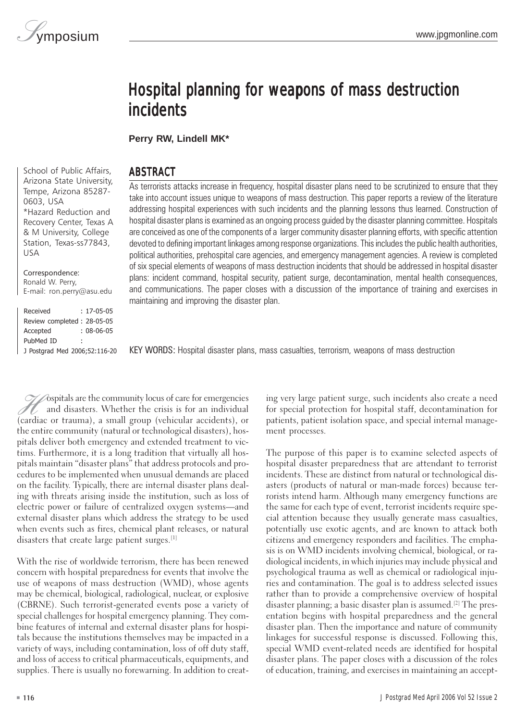# Hospital planning for weapons of mass destruction incidents

**Perry RW, Lindell MK\*** 

## ABSTRACT

School of Public Affairs, Arizona State University, Tempe, Arizona 85287 0603, USA \*Hazard Reduction and Recovery Center, Texas A & M University, College Station, Texas-ss77843, USA

Correspondence: Ronald W. Perry, E-mail: ron.perry@asu.edu

Received : 17-05-05 Review completed : 28-05-05 Accepted : 08-06-05 PubMed ID : J Postgrad Med 2006;52:116-20 As terrorists attacks increase in frequency, hospital disaster plans need to be scrutinized to ensure that they take into account issues unique to weapons of mass destruction. This paper reports a review of the literature addressing hospital experiences with such incidents and the planning lessons thus learned. Construction of hospital disaster plans is examined as an ongoing process guided by the disaster planning committee. Hospitals are conceived as one of the components of a larger community disaster planning efforts, with specific attention devoted to defining important linkages among response organizations. This includes the public health authorities, political authorities, prehospital care agencies, and emergency management agencies. A review is completed of six special elements of weapons of mass destruction incidents that should be addressed in hospital disaster plans: incident command, hospital security, patient surge, decontamination, mental health consequences, and communications. The paper closes with a discussion of the importance of training and exercises in maintaining and improving the disaster plan.

KEY WORDS: Hospital disaster plans, mass casualties, terrorism, weapons of mass destruction

F ospitals are the community locus of care for emergencies<br>and disasters. Whether the crisis is for an individual<br>(cardiac or trauma). a small group (vehicular accidents). or and disasters. Whether the crisis is for an individual (cardiac or trauma), a small group (vehicular accidents), or the entire community (natural or technological disasters), hospitals deliver both emergency and extended treatment to victims. Furthermore, it is a long tradition that virtually all hospitals maintain "disaster plans" that address protocols and procedures to be implemented when unusual demands are placed on the facility. Typically, there are internal disaster plans dealing with threats arising inside the institution, such as loss of electric power or failure of centralized oxygen systems—and external disaster plans which address the strategy to be used when events such as fires, chemical plant releases, or natural disasters that create large patient surges.[1]

With the rise of worldwide terrorism, there has been renewed concern with hospital preparedness for events that involve the use of weapons of mass destruction (WMD), whose agents may be chemical, biological, radiological, nuclear, or explosive (CBRNE). Such terrorist-generated events pose a variety of special challenges for hospital emergency planning. They combine features of internal and external disaster plans for hospitals because the institutions themselves may be impacted in a variety of ways, including contamination, loss of off duty staff, and loss of access to critical pharmaceuticals, equipments, and supplies. There is usually no forewarning. In addition to creating very large patient surge, such incidents also create a need for special protection for hospital staff, decontamination for patients, patient isolation space, and special internal management processes.

The purpose of this paper is to examine selected aspects of hospital disaster preparedness that are attendant to terrorist incidents. These are distinct from natural or technological disasters (products of natural or man-made forces) because terrorists intend harm. Although many emergency functions are the same for each type of event, terrorist incidents require special attention because they usually generate mass casualties, potentially use exotic agents, and are known to attack both citizens and emergency responders and facilities. The emphasis is on WMD incidents involving chemical, biological, or radiological incidents, in which injuries may include physical and psychological trauma as well as chemical or radiological injuries and contamination. The goal is to address selected issues rather than to provide a comprehensive overview of hospital disaster planning; a basic disaster plan is assumed.[2] The presentation begins with hospital preparedness and the general disaster plan. Then the importance and nature of community linkages for successful response is discussed. Following this, special WMD event-related needs are identified for hospital disaster plans. The paper closes with a discussion of the roles of education, training, and exercises in maintaining an accept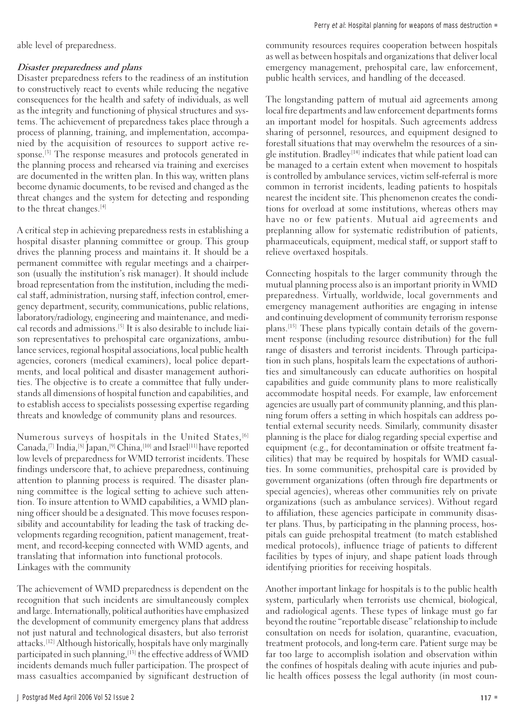able level of preparedness.

## Disaster preparedness and plans

Disaster preparedness refers to the readiness of an institution to constructively react to events while reducing the negative consequences for the health and safety of individuals, as well as the integrity and functioning of physical structures and systems. The achievement of preparedness takes place through a process of planning, training, and implementation, accompanied by the acquisition of resources to support active response.[3] The response measures and protocols generated in the planning process and rehearsed via training and exercises are documented in the written plan. In this way, written plans become dynamic documents, to be revised and changed as the threat changes and the system for detecting and responding to the threat changes.<sup>[4]</sup>

A critical step in achieving preparedness rests in establishing a hospital disaster planning committee or group. This group drives the planning process and maintains it. It should be a permanent committee with regular meetings and a chairperson (usually the institution's risk manager). It should include broad representation from the institution, including the medical staff, administration, nursing staff, infection control, emergency department, security, communications, public relations, laboratory/radiology, engineering and maintenance, and medical records and admissions.[5] It is also desirable to include liaison representatives to prehospital care organizations, ambulance services, regional hospital associations, local public health agencies, coroners (medical examiners), local police departments, and local political and disaster management authorities. The objective is to create a committee that fully understands all dimensions of hospital function and capabilities, and to establish access to specialists possessing expertise regarding threats and knowledge of community plans and resources.

Numerous surveys of hospitals in the United States,<sup>[6]</sup> Canada,[7] India,[8] Japan,[9] China,[10] and Israel[11] have reported low levels of preparedness for WMD terrorist incidents. These findings underscore that, to achieve preparedness, continuing attention to planning process is required. The disaster planning committee is the logical setting to achieve such attention. To insure attention to WMD capabilities, a WMD planning officer should be a designated. This move focuses responsibility and accountability for leading the task of tracking developments regarding recognition, patient management, treatment, and record-keeping connected with WMD agents, and translating that information into functional protocols. Linkages with the community

The achievement of WMD preparedness is dependent on the recognition that such incidents are simultaneously complex and large. Internationally, political authorities have emphasized the development of community emergency plans that address not just natural and technological disasters, but also terrorist attacks.[12] Although historically, hospitals have only marginally participated in such planning,<sup>[13]</sup> the effective address of WMD incidents demands much fuller participation. The prospect of mass casualties accompanied by significant destruction of

community resources requires cooperation between hospitals as well as between hospitals and organizations that deliver local emergency management, prehospital care, law enforcement, public health services, and handling of the deceased.

The longstanding pattern of mutual aid agreements among local fire departments and law enforcement departments forms an important model for hospitals. Such agreements address sharing of personnel, resources, and equipment designed to forestall situations that may overwhelm the resources of a single institution. Bradley<sup>[14]</sup> indicates that while patient load can be managed to a certain extent when movement to hospitals is controlled by ambulance services, victim self-referral is more common in terrorist incidents, leading patients to hospitals nearest the incident site. This phenomenon creates the conditions for overload at some institutions, whereas others may have no or few patients. Mutual aid agreements and preplanning allow for systematic redistribution of patients, pharmaceuticals, equipment, medical staff, or support staff to relieve overtaxed hospitals.

Connecting hospitals to the larger community through the mutual planning process also is an important priority in WMD preparedness. Virtually, worldwide, local governments and emergency management authorities are engaging in intense and continuing development of community terrorism response plans.[15] These plans typically contain details of the government response (including resource distribution) for the full range of disasters and terrorist incidents. Through participation in such plans, hospitals learn the expectations of authorities and simultaneously can educate authorities on hospital capabilities and guide community plans to more realistically accommodate hospital needs. For example, law enforcement agencies are usually part of community planning, and this planning forum offers a setting in which hospitals can address potential external security needs. Similarly, community disaster planning is the place for dialog regarding special expertise and equipment (e.g., for decontamination or offsite treatment facilities) that may be required by hospitals for WMD casualties. In some communities, prehospital care is provided by government organizations (often through fire departments or special agencies), whereas other communities rely on private organizations (such as ambulance services). Without regard to affiliation, these agencies participate in community disaster plans. Thus, by participating in the planning process, hospitals can guide prehospital treatment (to match established medical protocols), influence triage of patients to different facilities by types of injury, and shape patient loads through identifying priorities for receiving hospitals.

Another important linkage for hospitals is to the public health system, particularly when terrorists use chemical, biological, and radiological agents. These types of linkage must go far beyond the routine "reportable disease" relationship to include consultation on needs for isolation, quarantine, evacuation, treatment protocols, and long-term care. Patient surge may be far too large to accomplish isolation and observation within the confines of hospitals dealing with acute injuries and public health offices possess the legal authority (in most coun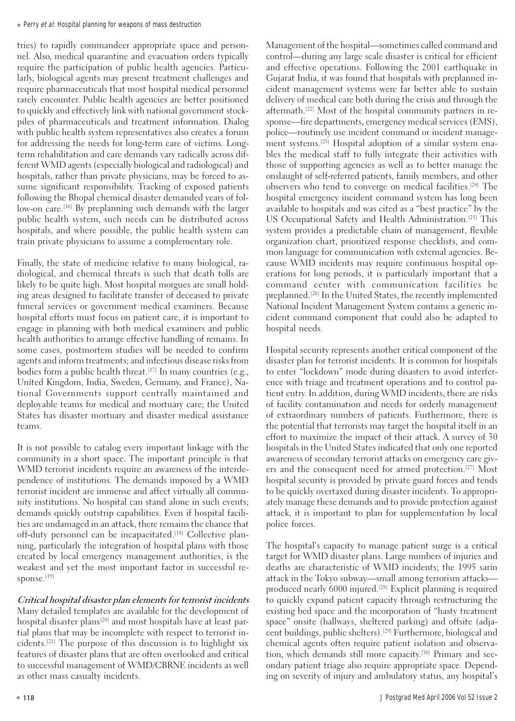tries) to rapidly commandeer appropriate space and personnel. Also, medical quarantine and evacuation orders typically require the participation of public health agencies. Particularly, biological agents may present treatment challenges and require pharmaceuticals that most hospital medical personnel rarely encounter. Public health agencies are better positioned to quickly and effectively link with national government stockpiles of pharmaceuticals and treatment information. Dialog with public health system representatives also creates a forum for addressing the needs for long-term care of victims. Longterm rehabilitation and care demands vary radically across different WMD agents (especially biological and radiological) and hospitals, rather than private physicians, may be forced to assume significant responsibility. Tracking of exposed patients following the Bhopal chemical disaster demanded years of follow-on care.<sup>[16]</sup> By preplanning such demands with the larger public health system, such needs can be distributed across hospitals, and where possible, the public health system can train private physicians to assume a complementary role.

Finally, the state of medicine relative to many biological, radiological, and chemical threats is such that death tolls are likely to be quite high. Most hospital morgues are small holding areas designed to facilitate transfer of deceased to private funeral services or government medical examiners. Because hospital efforts must focus on patient care, it is important to engage in planning with both medical examiners and public health authorities to arrange effective handling of remains. In some cases, postmortem studies will be needed to confirm agents and inform treatments; and infectious disease risks from bodies form a public health threat.<sup>[17]</sup> In many countries (e.g., United Kingdom, India, Sweden, Germany, and France), National Governments support centrally maintained and deployable teams for medical and mortuary care; the United States has disaster mortuary and disaster medical assistance teams.

It is not possible to catalog every important linkage with the community in a short space. The important principle is that WMD terrorist incidents require an awareness of the interdependence of institutions. The demands imposed by a WMD terrorist incident are immense and affect virtually all community institutions. No hospital can stand alone in such events; demands quickly outstrip capabilities. Even if hospital facilities are undamaged in an attack, there remains the chance that off-duty personnel can be incapacitated.<sup>[18]</sup> Collective planning, particularly the integration of hospital plans with those created by local emergency management authorities, is the weakest and yet the most important factor in successful response.<sup>[19]</sup>

Critical hospital disaster plan elements for terrorist incidents Many detailed templates are available for the development of hospital disaster plans<sup>[20]</sup> and most hospitals have at least partial plans that may be incomplete with respect to terrorist incidents.[21] The purpose of this discussion is to highlight six features of disaster plans that are often overlooked and critical to successful management of WMD/CBRNE incidents as well as other mass casualty incidents.

Management of the hospital—sometimes called command and control—during any large scale disaster is critical for efficient and effective operations. Following the 2001 earthquake in Gujarat India, it was found that hospitals with preplanned incident management systems were far better able to sustain delivery of medical care both during the crisis and through the aftermath.[22] Most of the hospital community partners in response—fire departments, emergency medical services (EMS), police—routinely use incident command or incident management systems.<sup>[23]</sup> Hospital adoption of a similar system enables the medical staff to fully integrate their activities with those of supporting agencies as well as to better manage the onslaught of self-referred patients, family members, and other observers who tend to converge on medical facilities.[24] The hospital emergency incident command system has long been available to hospitals and was cited as a "best practice" by the US Occupational Safety and Health Administration.[25] This system provides a predictable chain of management, flexible organization chart, prioritized response checklists, and common language for communication with external agencies. Because WMD incidents may require continuous hospital operations for long periods, it is particularly important that a command center with communication facilities be preplanned.[26] In the United States, the recently implemented National Incident Management System contains a generic incident command component that could also be adapted to hospital needs.

Hospital security represents another critical component of the disaster plan for terrorist incidents. It is common for hospitals to enter "lockdown" mode during disasters to avoid interference with triage and treatment operations and to control patient entry. In addition, during WMD incidents, there are risks of facility contamination and needs for orderly management of extraordinary numbers of patients. Furthermore, there is the potential that terrorists may target the hospital itself in an effort to maximize the impact of their attack. A survey of 30 hospitals in the United States indicated that only one reported awareness of secondary terrorist attacks on emergency care givers and the consequent need for armed protection.[27] Most hospital security is provided by private guard forces and tends to be quickly overtaxed during disaster incidents. To appropriately manage these demands and to provide protection against attack, it is important to plan for supplementation by local police forces.

The hospital's capacity to manage patient surge is a critical target for WMD disaster plans. Large numbers of injuries and deaths are characteristic of WMD incidents; the 1995 sarin attack in the Tokyo subway—small among terrorism attacks produced nearly 6000 injured. [28] Explicit planning is required to quickly expand patient capacity through restructuring the existing bed space and the incorporation of "hasty treatment space" onsite (hallways, sheltered parking) and offsite (adjacent buildings, public shelters).[29] Furthermore, biological and chemical agents often require patient isolation and observation, which demands still more capacity. [30] Primary and secondary patient triage also require appropriate space. Depending on severity of injury and ambulatory status, any hospital's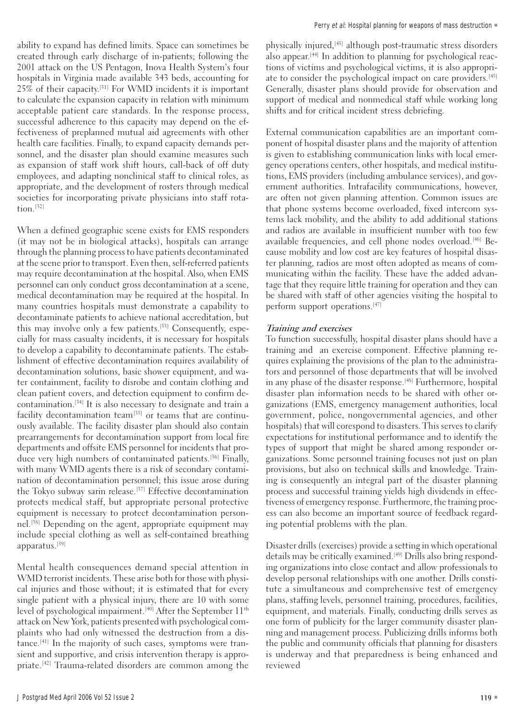ability to expand has defined limits. Space can sometimes be created through early discharge of in-patients; following the 2001 attack on the US Pentagon, Inova Health System's four hospitals in Virginia made available 343 beds, accounting for 25% of their capacity. [31] For WMD incidents it is important to calculate the expansion capacity in relation with minimum acceptable patient care standards. In the response process, successful adherence to this capacity may depend on the effectiveness of preplanned mutual aid agreements with other health care facilities. Finally, to expand capacity demands personnel, and the disaster plan should examine measures such as expansion of staff work shift hours, call-back of off duty employees, and adapting nonclinical staff to clinical roles, as appropriate, and the development of rosters through medical societies for incorporating private physicians into staff rotation.[32]

When a defined geographic scene exists for EMS responders (it may not be in biological attacks), hospitals can arrange through the planning process to have patients decontaminated at the scene prior to transport. Even then, self-referred patients may require decontamination at the hospital. Also, when EMS personnel can only conduct gross decontamination at a scene, medical decontamination may be required at the hospital. In many countries hospitals must demonstrate a capability to decontaminate patients to achieve national accreditation, but this may involve only a few patients.[33] Consequently, especially for mass casualty incidents, it is necessary for hospitals to develop a capability to decontaminate patients. The establishment of effective decontamination requires availability of decontamination solutions, basic shower equipment, and water containment, facility to disrobe and contain clothing and clean patient covers, and detection equipment to confirm decontamination.[34] It is also necessary to designate and train a facility decontamination team<sup>[35]</sup> or teams that are continuously available. The facility disaster plan should also contain prearrangements for decontamination support from local fire departments and offsite EMS personnel for incidents that produce very high numbers of contaminated patients.<sup>[36]</sup> Finally, with many WMD agents there is a risk of secondary contamination of decontamination personnel; this issue arose during the Tokyo subway sarin release.<sup>[37]</sup> Effective decontamination protects medical staff, but appropriate personal protective equipment is necessary to protect decontamination personnel.[38] Depending on the agent, appropriate equipment may include special clothing as well as self-contained breathing apparatus.[39]

Mental health consequences demand special attention in WMD terrorist incidents. These arise both for those with physical injuries and those without; it is estimated that for every single patient with a physical injury, there are 10 with some level of psychological impairment.<sup>[40]</sup> After the September 11<sup>th</sup> attack on New York, patients presented with psychological complaints who had only witnessed the destruction from a distance.[41] In the majority of such cases, symptoms were transient and supportive, and crisis intervention therapy is appropriate.[42] Trauma-related disorders are common among the

physically injured, [43] although post-traumatic stress disorders also appear. [44] In addition to planning for psychological reactions of victims and psychological victims, it is also appropriate to consider the psychological impact on care providers.<sup>[45]</sup> Generally, disaster plans should provide for observation and support of medical and nonmedical staff while working long shifts and for critical incident stress debriefing.

External communication capabilities are an important component of hospital disaster plans and the majority of attention is given to establishing communication links with local emergency operations centers, other hospitals, and medical institutions, EMS providers (including ambulance services), and government authorities. Intrafacility communications, however, are often not given planning attention. Common issues are that phone systems become overloaded, fixed intercom systems lack mobility, and the ability to add additional stations and radios are available in insufficient number with too few available frequencies, and cell phone nodes overload.<sup>[46]</sup> Because mobility and low cost are key features of hospital disaster planning, radios are most often adopted as means of communicating within the facility. These have the added advantage that they require little training for operation and they can be shared with staff of other agencies visiting the hospital to perform support operations.[47]

### Training and exercises

To function successfully, hospital disaster plans should have a training and an exercise component. Effective planning requires explaining the provisions of the plan to the administrators and personnel of those departments that will be involved in any phase of the disaster response.<sup>[48]</sup> Furthermore, hospital disaster plan information needs to be shared with other organizations (EMS, emergency management authorities, local government, police, nongovernmental agencies, and other hospitals) that will corespond to disasters. This serves to clarify expectations for institutional performance and to identify the types of support that might be shared among responder organizations. Some personnel training focuses not just on plan provisions, but also on technical skills and knowledge. Training is consequently an integral part of the disaster planning process and successful training yields high dividends in effectiveness of emergency response. Furthermore, the training process can also become an important source of feedback regarding potential problems with the plan.

Disaster drills (exercises) provide a setting in which operational details may be critically examined.<sup>[49]</sup> Drills also bring responding organizations into close contact and allow professionals to develop personal relationships with one another. Drills constitute a simultaneous and comprehensive test of emergency plans, staffing levels, personnel training, procedures, facilities, equipment, and materials. Finally, conducting drills serves as one form of publicity for the larger community disaster planning and management process. Publicizing drills informs both the public and community officials that planning for disasters is underway and that preparedness is being enhanced and reviewed